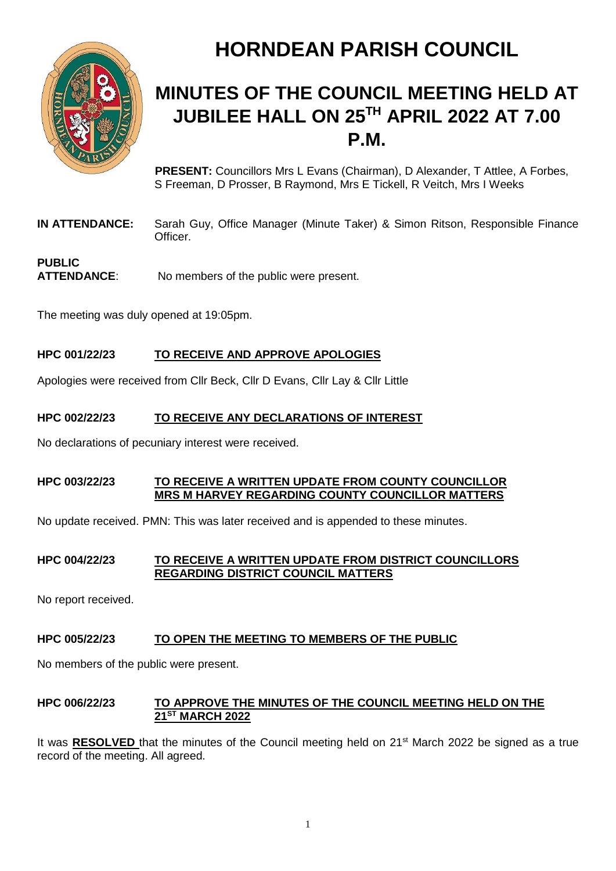

# **HORNDEAN PARISH COUNCIL**

# **MINUTES OF THE COUNCIL MEETING HELD AT JUBILEE HALL ON 25TH APRIL 2022 AT 7.00 P.M.**

**PRESENT:** Councillors Mrs L Evans (Chairman), D Alexander, T Attlee, A Forbes, S Freeman, D Prosser, B Raymond, Mrs E Tickell, R Veitch, Mrs I Weeks

**IN ATTENDANCE:** Sarah Guy, Office Manager (Minute Taker) & Simon Ritson, Responsible Finance Officer.

# **PUBLIC ATTENDANCE**: No members of the public were present.

The meeting was duly opened at 19:05pm.

# **HPC 001/22/23 TO RECEIVE AND APPROVE APOLOGIES**

Apologies were received from Cllr Beck, Cllr D Evans, Cllr Lay & Cllr Little

# **HPC 002/22/23 TO RECEIVE ANY DECLARATIONS OF INTEREST**

No declarations of pecuniary interest were received.

# **HPC 003/22/23 TO RECEIVE A WRITTEN UPDATE FROM COUNTY COUNCILLOR MRS M HARVEY REGARDING COUNTY COUNCILLOR MATTERS**

No update received. PMN: This was later received and is appended to these minutes.

# **HPC 004/22/23 TO RECEIVE A WRITTEN UPDATE FROM DISTRICT COUNCILLORS REGARDING DISTRICT COUNCIL MATTERS**

No report received.

# **HPC 005/22/23 TO OPEN THE MEETING TO MEMBERS OF THE PUBLIC**

No members of the public were present.

# **HPC 006/22/23 TO APPROVE THE MINUTES OF THE COUNCIL MEETING HELD ON THE 21ST MARCH 2022**

It was **RESOLVED** that the minutes of the Council meeting held on 21<sup>st</sup> March 2022 be signed as a true record of the meeting. All agreed.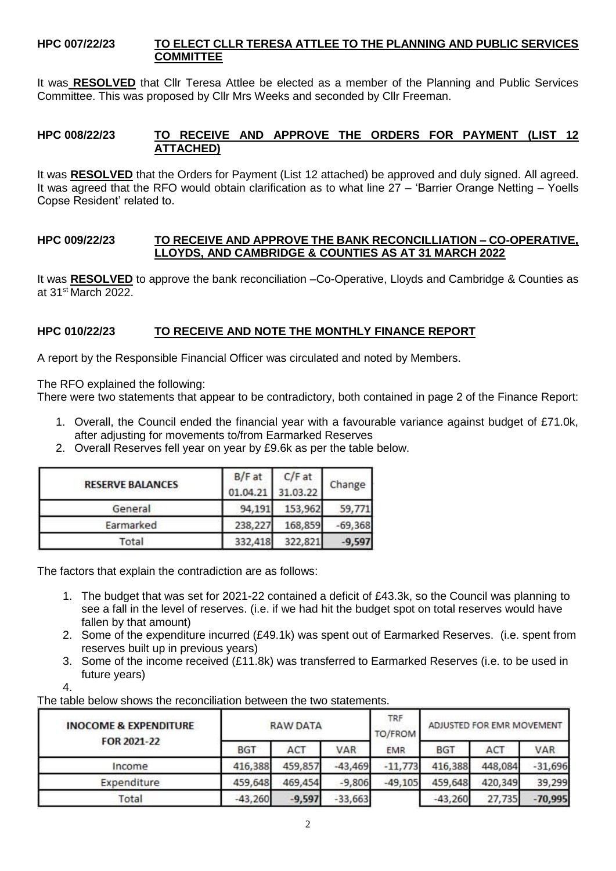#### **HPC 007/22/23 TO ELECT CLLR TERESA ATTLEE TO THE PLANNING AND PUBLIC SERVICES COMMITTEE**

It was **RESOLVED** that Cllr Teresa Attlee be elected as a member of the Planning and Public Services Committee. This was proposed by Cllr Mrs Weeks and seconded by Cllr Freeman.

# **HPC 008/22/23 TO RECEIVE AND APPROVE THE ORDERS FOR PAYMENT (LIST 12 ATTACHED)**

It was **RESOLVED** that the Orders for Payment (List 12 attached) be approved and duly signed. All agreed. It was agreed that the RFO would obtain clarification as to what line 27 – 'Barrier Orange Netting – Yoells Copse Resident' related to.

#### **HPC 009/22/23 TO RECEIVE AND APPROVE THE BANK RECONCILLIATION – CO-OPERATIVE, LLOYDS, AND CAMBRIDGE & COUNTIES AS AT 31 MARCH 2022**

It was **RESOLVED** to approve the bank reconciliation –Co-Operative, Lloyds and Cambridge & Counties as at 31st March 2022.

# **HPC 010/22/23 TO RECEIVE AND NOTE THE MONTHLY FINANCE REPORT**

A report by the Responsible Financial Officer was circulated and noted by Members.

The RFO explained the following:

There were two statements that appear to be contradictory, both contained in page 2 of the Finance Report:

- 1. Overall, the Council ended the financial year with a favourable variance against budget of £71.0k, after adjusting for movements to/from Earmarked Reserves
- 2. Overall Reserves fell year on year by £9.6k as per the table below.

| <b>RESERVE BALANCES</b> | B/F at<br>01.04.21 | C/Fat<br>31.03.22 | Change    |  |
|-------------------------|--------------------|-------------------|-----------|--|
| General                 | 94,191             | 153,962           | 59,771    |  |
| Earmarked               | 238,227            | 168,859           | $-69,368$ |  |
| Total                   | 332,418            | 322,821           | $-9,597$  |  |

The factors that explain the contradiction are as follows:

- 1. The budget that was set for 2021-22 contained a deficit of £43.3k, so the Council was planning to see a fall in the level of reserves. (i.e. if we had hit the budget spot on total reserves would have fallen by that amount)
- 2. Some of the expenditure incurred (£49.1k) was spent out of Earmarked Reserves. (i.e. spent from reserves built up in previous years)
- 3. Some of the income received (£11.8k) was transferred to Earmarked Reserves (i.e. to be used in future years)

4.

The table below shows the reconciliation between the two statements.

| <b>INOCOME &amp; EXPENDITURE</b><br>FOR 2021-22 | <b>RAW DATA</b> |          |           | TRF<br>TO/FROM | ADJUSTED FOR EMR MOVEMENT |         |            |
|-------------------------------------------------|-----------------|----------|-----------|----------------|---------------------------|---------|------------|
|                                                 | <b>BGT</b>      | ACT      | VAR       | <b>EMR</b>     | <b>BGT</b>                | ACT     | <b>VAR</b> |
| Income                                          | 416,388         | 459,857  | $-43,469$ | $-11,773$      | 416,388                   | 448,084 | $-31,696$  |
| Expenditure                                     | 459,648         | 469,454  | $-9,806$  | $-49,105$      | 459,648                   | 420,349 | 39,299     |
| Total                                           | $-43,260$       | $-9,597$ | $-33,663$ |                | $-43,260$                 | 27,735  | $-70,995$  |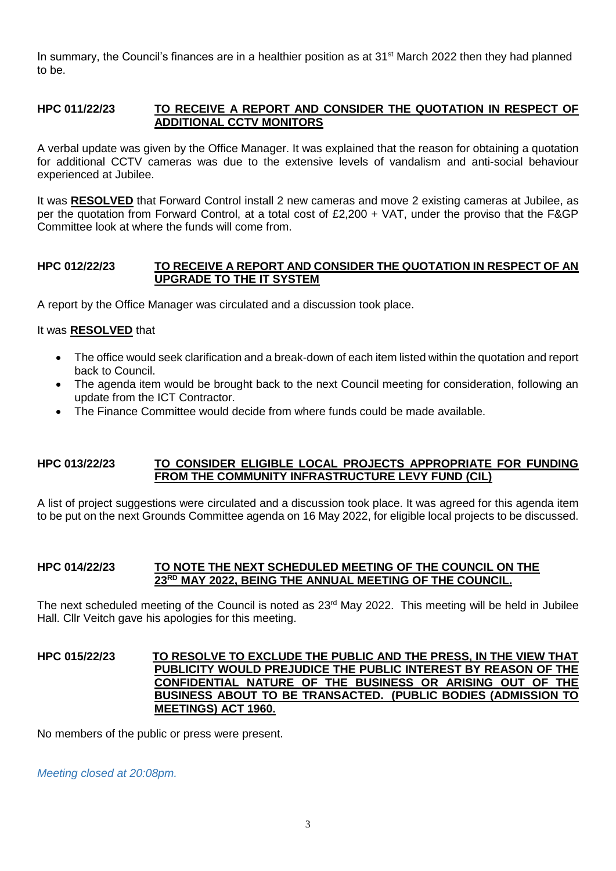In summary, the Council's finances are in a healthier position as at 31<sup>st</sup> March 2022 then they had planned to be.

#### **HPC 011/22/23 TO RECEIVE A REPORT AND CONSIDER THE QUOTATION IN RESPECT OF ADDITIONAL CCTV MONITORS**

A verbal update was given by the Office Manager. It was explained that the reason for obtaining a quotation for additional CCTV cameras was due to the extensive levels of vandalism and anti-social behaviour experienced at Jubilee.

It was **RESOLVED** that Forward Control install 2 new cameras and move 2 existing cameras at Jubilee, as per the quotation from Forward Control, at a total cost of £2,200 + VAT, under the proviso that the F&GP Committee look at where the funds will come from.

# **HPC 012/22/23 TO RECEIVE A REPORT AND CONSIDER THE QUOTATION IN RESPECT OF AN UPGRADE TO THE IT SYSTEM**

A report by the Office Manager was circulated and a discussion took place.

# It was **RESOLVED** that

- The office would seek clarification and a break-down of each item listed within the quotation and report back to Council.
- The agenda item would be brought back to the next Council meeting for consideration, following an update from the ICT Contractor.
- The Finance Committee would decide from where funds could be made available.

# **HPC 013/22/23 TO CONSIDER ELIGIBLE LOCAL PROJECTS APPROPRIATE FOR FUNDING FROM THE COMMUNITY INFRASTRUCTURE LEVY FUND (CIL)**

A list of project suggestions were circulated and a discussion took place. It was agreed for this agenda item to be put on the next Grounds Committee agenda on 16 May 2022, for eligible local projects to be discussed.

# **HPC 014/22/23 TO NOTE THE NEXT SCHEDULED MEETING OF THE COUNCIL ON THE 23RD MAY 2022, BEING THE ANNUAL MEETING OF THE COUNCIL.**

The next scheduled meeting of the Council is noted as 23<sup>rd</sup> May 2022. This meeting will be held in Jubilee Hall. Cllr Veitch gave his apologies for this meeting.

#### **HPC 015/22/23 TO RESOLVE TO EXCLUDE THE PUBLIC AND THE PRESS, IN THE VIEW THAT PUBLICITY WOULD PREJUDICE THE PUBLIC INTEREST BY REASON OF THE CONFIDENTIAL NATURE OF THE BUSINESS OR ARISING OUT OF THE BUSINESS ABOUT TO BE TRANSACTED. (PUBLIC BODIES (ADMISSION TO MEETINGS) ACT 1960.**

No members of the public or press were present.

*Meeting closed at 20:08pm.*